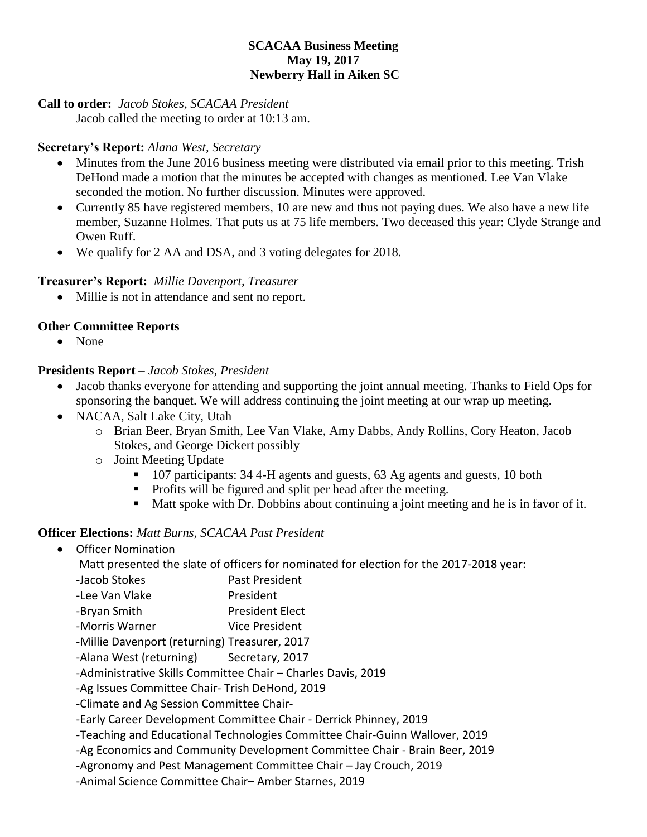## **SCACAA Business Meeting May 19, 2017 Newberry Hall in Aiken SC**

#### **Call to order:** *Jacob Stokes, SCACAA President*

Jacob called the meeting to order at 10:13 am.

### **Secretary's Report:** *Alana West, Secretary*

- Minutes from the June 2016 business meeting were distributed via email prior to this meeting. Trish DeHond made a motion that the minutes be accepted with changes as mentioned. Lee Van Vlake seconded the motion. No further discussion. Minutes were approved.
- Currently 85 have registered members, 10 are new and thus not paying dues. We also have a new life member, Suzanne Holmes. That puts us at 75 life members. Two deceased this year: Clyde Strange and Owen Ruff.
- We qualify for 2 AA and DSA, and 3 voting delegates for 2018.

## **Treasurer's Report:** *Millie Davenport, Treasurer*

• Millie is not in attendance and sent no report.

## **Other Committee Reports**

• None

## **Presidents Report** – *Jacob Stokes, President*

- Jacob thanks everyone for attending and supporting the joint annual meeting. Thanks to Field Ops for sponsoring the banquet. We will address continuing the joint meeting at our wrap up meeting.
- NACAA, Salt Lake City, Utah
	- o Brian Beer, Bryan Smith, Lee Van Vlake, Amy Dabbs, Andy Rollins, Cory Heaton, Jacob Stokes, and George Dickert possibly
	- o Joint Meeting Update
		- 107 participants: 34 4-H agents and guests, 63 Ag agents and guests, 10 both
		- Profits will be figured and split per head after the meeting.
		- Matt spoke with Dr. Dobbins about continuing a joint meeting and he is in favor of it.

#### **Officer Elections:** *Matt Burns, SCACAA Past President*

Officer Nomination

Matt presented the slate of officers for nominated for election for the 2017-2018 year:

- -Jacob Stokes Past President
- -Lee Van Vlake President
- -Bryan Smith President Elect
- -Morris Warner Vice President
- -Millie Davenport (returning) Treasurer, 2017
- -Alana West (returning) Secretary, 2017
- -Administrative Skills Committee Chair Charles Davis, 2019

-Ag Issues Committee Chair- Trish DeHond, 2019

-Climate and Ag Session Committee Chair-

-Early Career Development Committee Chair - Derrick Phinney, 2019

- -Teaching and Educational Technologies Committee Chair-Guinn Wallover, 2019
- -Ag Economics and Community Development Committee Chair Brain Beer, 2019
- -Agronomy and Pest Management Committee Chair Jay Crouch, 2019

-Animal Science Committee Chair– Amber Starnes, 2019